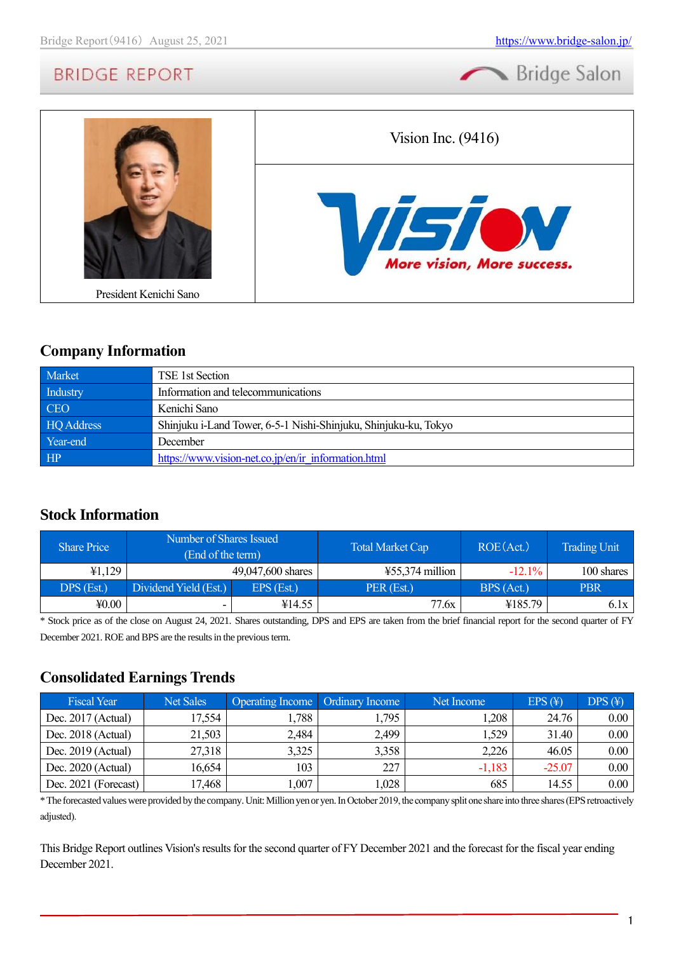



### **Company Information**

| Market     | TSE 1st Section                                                 |
|------------|-----------------------------------------------------------------|
| Industry   | Information and telecommunications                              |
| <b>CEO</b> | Kenichi Sano                                                    |
| HQ Address | Shinjuku i-Land Tower, 6-5-1 Nishi-Shinjuku, Shinjuku-ku, Tokyo |
| Year-end   | December                                                        |
| HP         | https://www.vision-net.co.jp/en/ir information.html             |

### **Stock Information**

| <b>Share Price</b> | Number of Shares Issued<br>(End of the term) |                   | <b>Total Market Cap</b> | ROE(Act.)  | <b>Trading Unit</b> |
|--------------------|----------------------------------------------|-------------------|-------------------------|------------|---------------------|
| 41,129             |                                              | 49,047,600 shares | $455,374$ million       | $-12.1\%$  | 100 shares          |
| DPS (Est.)         | Dividend Yield (Est.)                        | $EPS$ (Est.)      | PER (Est.)              | BPS (Act.) | <b>PBR</b>          |
| 40.00              | -                                            | ¥14.55            | 77.6x                   | ¥185.79    | 6.1x                |

\* Stock price as of the close on August 24, 2021. Shares outstanding, DPS and EPS are taken from the brief financial report for the second quarter of FY December 2021. ROE and BPS are the results in the previous term.

### **Consolidated Earnings Trends**

| <b>Fiscal Year</b>   | <b>Net Sales</b> | Operating Income   Ordinary Income |       | Net Income | EPS(F)   | DPS(F)   |
|----------------------|------------------|------------------------------------|-------|------------|----------|----------|
| Dec. 2017 (Actual)   | 17,554           | .,788                              | 1,795 | ,208       | 24.76    | $0.00\,$ |
| Dec. 2018 (Actual)   | 21,503           | 2,484                              | 2,499 | .529       | 31.40    | $0.00\,$ |
| Dec. $2019$ (Actual) | 27,318           | 3,325                              | 3,358 | 2,226      | 46.05    | $0.00\,$ |
| Dec. $2020$ (Actual) | 16,654           | 103                                | 227   | $-1,183$   | $-25.07$ | $0.00\,$ |
| Dec. 2021 (Forecast) | 17,468           | ,007                               | ,028  | 685        | 14.55    | $0.00\,$ |

\* The forecasted values were provided by the company. Unit: Million yen or yen. In October 2019, the company split one share into three shares (EPS retroactively adjusted).

This Bridge Report outlines Vision's results for the second quarter of FY December 2021 and the forecast for the fiscal year ending December 2021.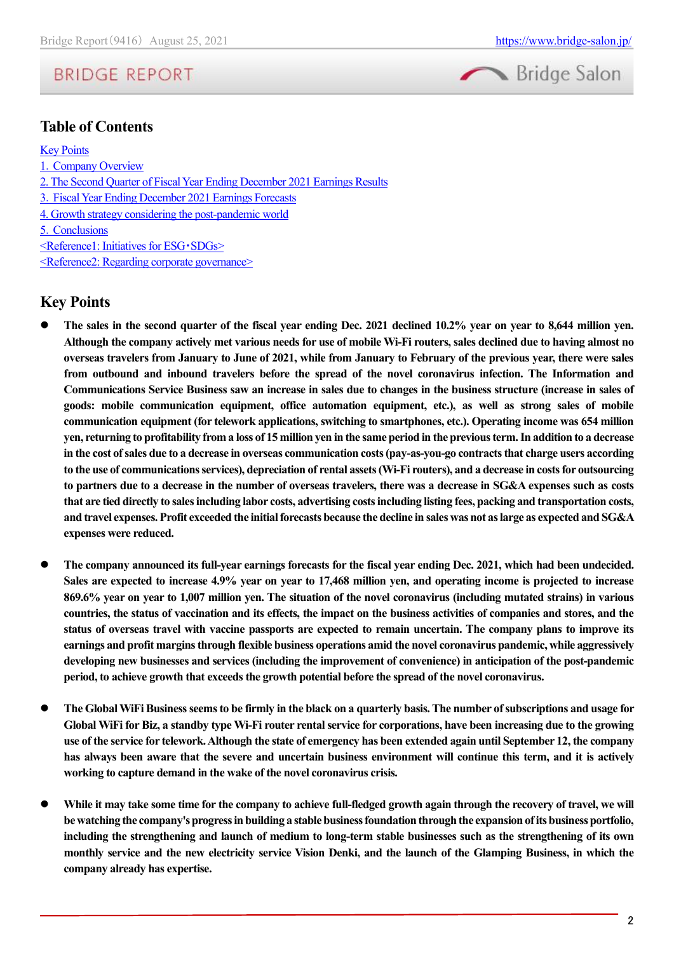



### **Table of Contents**

#### [Key Points](#page-1-0)

- 1.[Company Overview](#page-2-0)
- [2. The Second Quarter of Fiscal Year Ending December 2021 Earnings Results](#page-4-0)
- 3.[Fiscal Year Ending December 2021 Earnings Forecasts](#page-8-0)
- [4. Growth strategy considering the post-pandemic world](#page-10-0)
- 5.[Conclusions](#page-12-0)
- [<Reference1: Initiatives for ESG](#page-13-0)・SDGs>
- [<Reference2: Regarding corporate governance>](#page-14-0)

### <span id="page-1-0"></span>**Key Points**

- ⚫ **The sales in the second quarter of the fiscal year ending Dec. 2021 declined 10.2% year on year to 8,644 million yen. Although the company actively met various needs for use of mobile Wi-Fi routers, sales declined due to having almost no overseas travelers from January to June of 2021, while from January to February of the previous year, there were sales from outbound and inbound travelers before the spread of the novel coronavirus infection. The Information and Communications Service Business saw an increase in sales due to changes in the business structure (increase in sales of goods: mobile communication equipment, office automation equipment, etc.), as well as strong sales of mobile communication equipment (for telework applications, switching to smartphones, etc.). Operating income was 654 million yen, returning to profitability from a loss of 15 million yen in the same period in the previous term. In addition to a decrease in the cost of sales due to a decrease in overseas communication costs (pay-as-you-go contracts that charge users according to the use of communications services), depreciation of rental assets (Wi-Fi routers), and a decrease in costs for outsourcing to partners due to a decrease in the number of overseas travelers, there was a decrease in SG&A expenses such as costs that are tied directly to sales including labor costs, advertising costs including listing fees, packing and transportation costs, and travel expenses. Profit exceeded the initial forecasts because the decline in sales was not as large as expected and SG&A expenses were reduced.**
- ⚫ **The company announced its full-year earnings forecasts for the fiscal year ending Dec. 2021, which had been undecided. Sales are expected to increase 4.9% year on year to 17,468 million yen, and operating income is projected to increase 869.6% year on year to 1,007 million yen. The situation of the novel coronavirus (including mutated strains) in various countries, the status of vaccination and its effects, the impact on the business activities of companies and stores, and the status of overseas travel with vaccine passports are expected to remain uncertain. The company plans to improve its earnings and profit margins through flexible business operations amid the novel coronavirus pandemic, while aggressively developing new businesses and services (including the improvement of convenience) in anticipation of the post-pandemic period, to achieve growth that exceeds the growth potential before the spread of the novel coronavirus.**
- ⚫ **The Global WiFi Business seems to be firmly in the black on a quarterly basis. The number of subscriptions and usage for Global WiFi for Biz, a standby type Wi-Fi router rental service for corporations, have been increasing due to the growing use of the service for telework. Although the state of emergency has been extended again until September 12, the company has always been aware that the severe and uncertain business environment will continue this term, and it is actively working to capture demand in the wake of the novel coronavirus crisis.**
- While it may take some time for the company to achieve full-fledged growth again through the recovery of travel, we will **be watching the company's progress in building a stable business foundation through the expansion of its business portfolio, including the strengthening and launch of medium to long-term stable businesses such as the strengthening of its own monthly service and the new electricity service Vision Denki, and the launch of the Glamping Business, in which the company already has expertise.**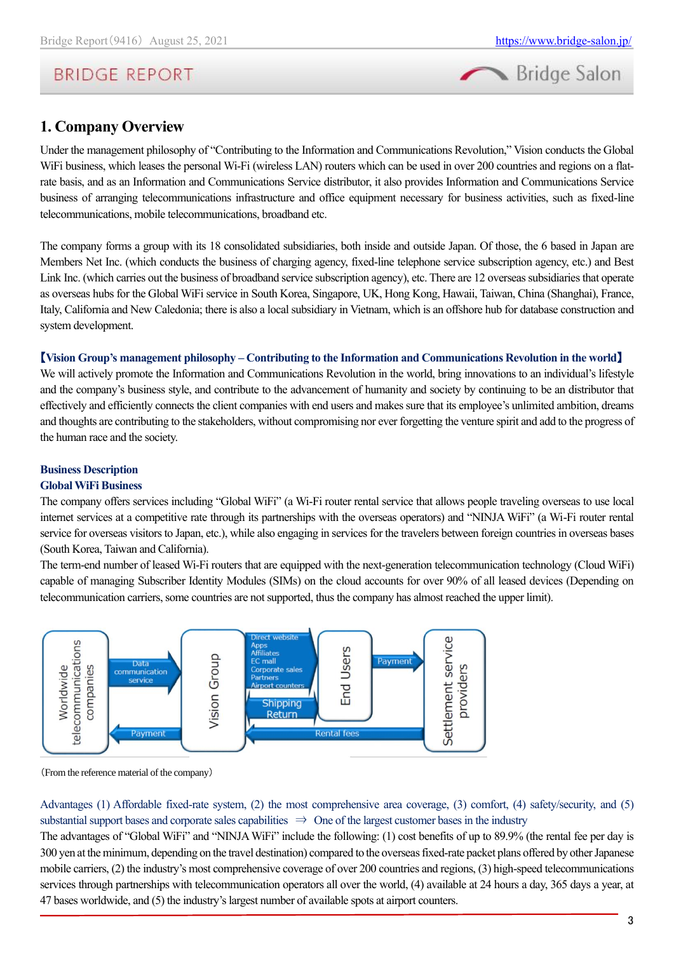

### <span id="page-2-0"></span>**1. Company Overview**

Under the management philosophy of "Contributing to the Information and Communications Revolution," Vision conducts the Global WiFi business, which leases the personal Wi-Fi (wireless LAN) routers which can be used in over 200 countries and regions on a flatrate basis, and as an Information and Communications Service distributor, it also provides Information and Communications Service business of arranging telecommunications infrastructure and office equipment necessary for business activities, such as fixed-line telecommunications, mobile telecommunications, broadband etc.

The company forms a group with its 18 consolidated subsidiaries, both inside and outside Japan. Of those, the 6 based in Japan are Members Net Inc. (which conducts the business of charging agency, fixed-line telephone service subscription agency, etc.) and Best Link Inc. (which carries out the business of broadband service subscription agency), etc. There are 12 overseas subsidiaries that operate as overseas hubs for the Global WiFi service in South Korea, Singapore, UK, Hong Kong, Hawaii, Taiwan, China (Shanghai), France, Italy, California and New Caledonia; there is also a local subsidiary in Vietnam, which is an offshore hub for database construction and system development.

#### 【**Vision Group's management philosophy – Contributing to the Information and Communications Revolution in the world**】

We will actively promote the Information and Communications Revolution in the world, bring innovations to an individual's lifestyle and the company's business style, and contribute to the advancement of humanity and society by continuing to be an distributor that effectively and efficiently connects the client companies with end users and makes sure that its employee's unlimited ambition, dreams and thoughts are contributing to the stakeholders, without compromising nor ever forgetting the venture spirit and add to the progress of the human race and the society.

### **Business Description**

#### **Global WiFi Business**

The company offers services including "Global WiFi" (a Wi-Fi router rental service that allows people traveling overseas to use local internet services at a competitive rate through its partnerships with the overseas operators) and "NINJA WiFi" (a Wi-Fi router rental service for overseas visitors to Japan, etc.), while also engaging in services for the travelers between foreign countries in overseas bases (South Korea, Taiwan and California).

The term-end number of leased Wi-Fi routers that are equipped with the next-generation telecommunication technology (Cloud WiFi) capable of managing Subscriber Identity Modules (SIMs) on the cloud accounts for over 90% of all leased devices (Depending on telecommunication carriers, some countries are not supported, thus the company has almost reached the upper limit).



(From the reference material of the company)

Advantages (1) Affordable fixed-rate system, (2) the most comprehensive area coverage, (3) comfort, (4) safety/security, and (5) substantial support bases and corporate sales capabilities  $\Rightarrow$  One of the largest customer bases in the industry

The advantages of "Global WiFi" and "NINJA WiFi" include the following: (1) cost benefits of up to 89.9% (the rental fee per day is 300 yen at the minimum, depending on the travel destination) compared to the overseas fixed-rate packet plans offered by other Japanese mobile carriers, (2) the industry's most comprehensive coverage of over 200 countries and regions, (3) high-speed telecommunications services through partnerships with telecommunication operators all over the world, (4) available at 24 hours a day, 365 days a year, at 47 bases worldwide, and (5) the industry's largest number of available spots at airport counters.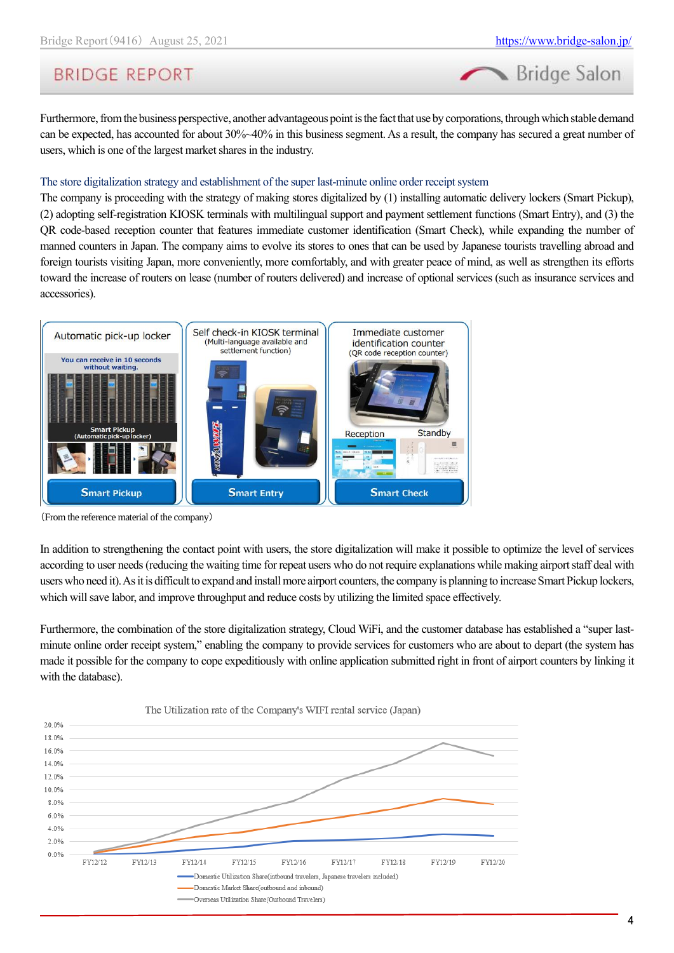# **BRIDGE REPORT**

Furthermore, from the business perspective, another advantageous point is the fact that use by corporations, through which stable demand can be expected, has accounted for about 30%~40% in this business segment. As a result, the company has secured a great number of users, which is one of the largest market shares in the industry.

#### The store digitalization strategy and establishment of the super last-minute online order receipt system

The company is proceeding with the strategy of making stores digitalized by (1) installing automatic delivery lockers (Smart Pickup), (2) adopting self-registration KIOSK terminals with multilingual support and payment settlement functions (Smart Entry), and (3) the QR code-based reception counter that features immediate customer identification (Smart Check), while expanding the number of manned counters in Japan. The company aims to evolve its stores to ones that can be used by Japanese tourists travelling abroad and foreign tourists visiting Japan, more conveniently, more comfortably, and with greater peace of mind, as well as strengthen its efforts toward the increase of routers on lease (number of routers delivered) and increase of optional services (such as insurance services and accessories).



(From the reference material of the company)

In addition to strengthening the contact point with users, the store digitalization will make it possible to optimize the level of services according to user needs (reducing the waiting time for repeat users who do not require explanations while making airport staff deal with users who need it). As it is difficult to expand and install more airport counters, the company is planning to increase Smart Pickup lockers, which will save labor, and improve throughput and reduce costs by utilizing the limited space effectively.

Furthermore, the combination of the store digitalization strategy, Cloud WiFi, and the customer database has established a "super lastminute online order receipt system," enabling the company to provide services for customers who are about to depart (the system has made it possible for the company to cope expeditiously with online application submitted right in front of airport counters by linking it with the database).



4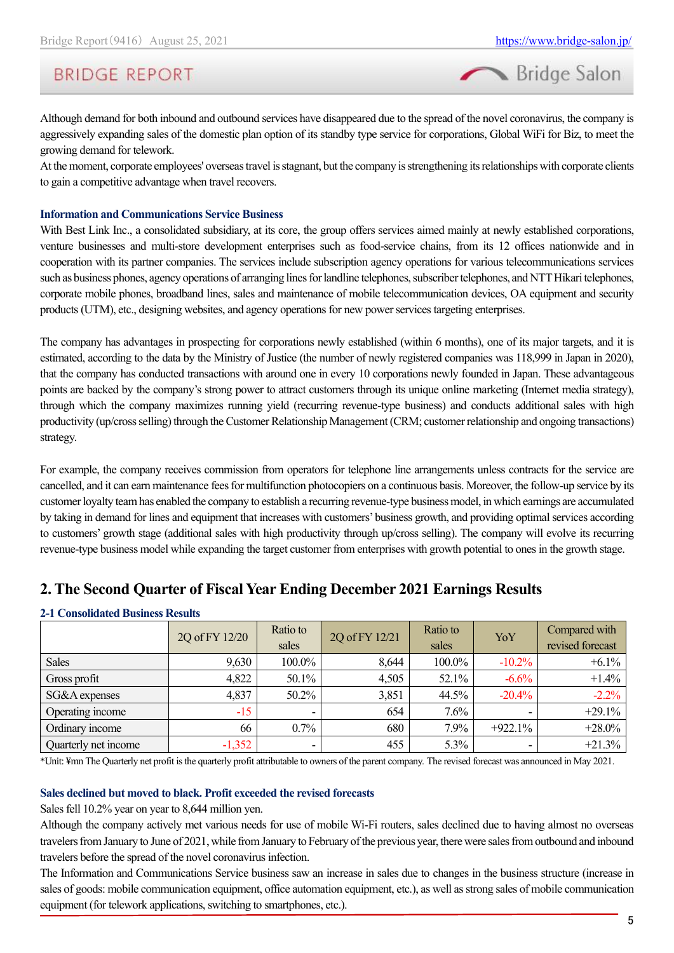# **BRIDGE REPORT**

Although demand for both inbound and outbound services have disappeared due to the spread of the novel coronavirus, the company is aggressively expanding sales of the domestic plan option of its standby type service for corporations, Global WiFi for Biz, to meet the growing demand for telework.

At the moment, corporate employees' overseas travel is stagnant, but the company is strengthening its relationships with corporate clients to gain a competitive advantage when travel recovers.

#### **Information and Communications Service Business**

With Best Link Inc., a consolidated subsidiary, at its core, the group offers services aimed mainly at newly established corporations, venture businesses and multi-store development enterprises such as food-service chains, from its 12 offices nationwide and in cooperation with its partner companies. The services include subscription agency operations for various telecommunications services such as business phones, agency operations of arranging lines for landline telephones, subscribertelephones, and NTT Hikari telephones, corporate mobile phones, broadband lines, sales and maintenance of mobile telecommunication devices, OA equipment and security products (UTM), etc., designing websites, and agency operations for new power services targeting enterprises.

The company has advantages in prospecting for corporations newly established (within 6 months), one of its major targets, and it is estimated, according to the data by the Ministry of Justice (the number of newly registered companies was 118,999 in Japan in 2020), that the company has conducted transactions with around one in every 10 corporations newly founded in Japan. These advantageous points are backed by the company's strong power to attract customers through its unique online marketing (Internet media strategy), through which the company maximizes running yield (recurring revenue-type business) and conducts additional sales with high productivity (up/cross selling) through the Customer Relationship Management (CRM; customer relationship and ongoing transactions) strategy.

For example, the company receives commission from operators for telephone line arrangements unless contracts for the service are cancelled, and it can earn maintenance fees for multifunction photocopiers on a continuous basis. Moreover, the follow-up service by its customer loyalty team has enabled the company to establish a recurring revenue-type business model, in which earnings are accumulated by taking in demand for lines and equipment that increases with customers' business growth, and providing optimal services according to customers' growth stage (additional sales with high productivity through up/cross selling). The company will evolve its recurring revenue-type business model while expanding the target customer from enterprises with growth potential to ones in the growth stage.

### <span id="page-4-0"></span>**2. The Second Quarter of Fiscal Year Ending December 2021 Earnings Results**

| 2-1 Consolidated Business Results |                |                   |                |                   |           |                                   |  |  |  |  |
|-----------------------------------|----------------|-------------------|----------------|-------------------|-----------|-----------------------------------|--|--|--|--|
|                                   | 2Q of FY 12/20 | Ratio to<br>sales | 2Q of FY 12/21 | Ratio to<br>sales | YoY       | Compared with<br>revised forecast |  |  |  |  |
| <b>Sales</b>                      | 9,630          | $100.0\%$         | 8,644          | 100.0%            | $-10.2\%$ | $+6.1%$                           |  |  |  |  |
| Gross profit                      | 4,822          | 50.1%             | 4,505          | 52.1%             | $-6.6%$   | $+1.4%$                           |  |  |  |  |
| SG&A expenses                     | 4,837          | 50.2%             | 3,851          | 44.5%             | $-20.4%$  | $-2.2%$                           |  |  |  |  |
| Operating income                  | $-15$          |                   | 654            | 7.6%              |           | $+29.1%$                          |  |  |  |  |
| Ordinary income                   | 66             | $0.7\%$           | 680            | 7.9%              | $+922.1%$ | $+28.0%$                          |  |  |  |  |

### **2-1 Consolidated Business Results**

Ouarterly net income  $\begin{vmatrix} -1.352 & -1.352 & -1.355 \end{vmatrix}$   $\begin{vmatrix} 455 & 5.3\% & -1.35\% & -1.352 \end{vmatrix}$   $\begin{vmatrix} +21.3\% & -1.35\% & -1.35\% & -1.352 \end{vmatrix}$ \*Unit: ¥mn The Quarterly net profit is the quarterly profit attributable to owners of the parent company. The revised forecast was announced in May 2021.

### **Sales declined but moved to black. Profit exceeded the revised forecasts**

Sales fell 10.2% year on year to 8,644 million yen.

Although the company actively met various needs for use of mobile Wi-Fi routers, sales declined due to having almost no overseas travelers from January to June of 2021, while from January to February of the previous year, there were sales from outbound and inbound travelers before the spread of the novel coronavirus infection.

The Information and Communications Service business saw an increase in sales due to changes in the business structure (increase in sales of goods: mobile communication equipment, office automation equipment, etc.), as well as strong sales of mobile communication equipment (for telework applications, switching to smartphones, etc.).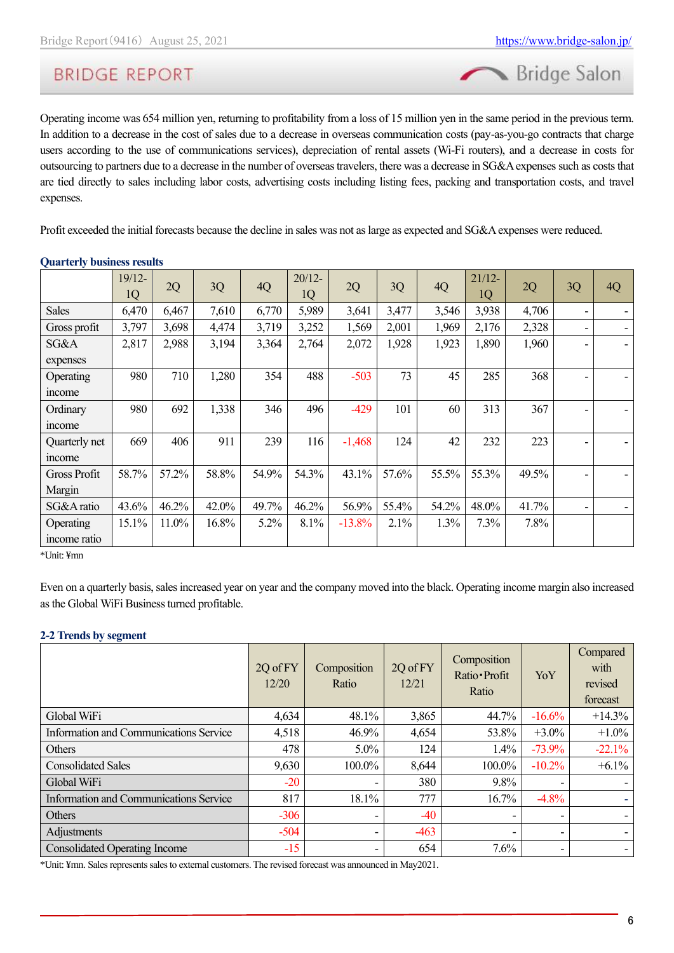

Operating income was 654 million yen, returning to profitability from a loss of 15 million yen in the same period in the previous term. In addition to a decrease in the cost of sales due to a decrease in overseas communication costs (pay-as-you-go contracts that charge users according to the use of communications services), depreciation of rental assets (Wi-Fi routers), and a decrease in costs for outsourcing to partners due to a decrease in the number of overseas travelers, there was a decrease in SG&A expenses such as costs that are tied directly to sales including labor costs, advertising costs including listing fees, packing and transportation costs, and travel expenses.

Profit exceeded the initial forecasts because the decline in sales was not as large as expected and SG&A expenses were reduced.

|                     | $19/12-$<br>1Q | 2Q    | 3Q    | 4Q    | $20/12 -$<br>1Q | 2Q       | 3Q    | 4Q    | $21/12-$<br>1Q | 2Q    | 3Q | 4Q |
|---------------------|----------------|-------|-------|-------|-----------------|----------|-------|-------|----------------|-------|----|----|
| <b>Sales</b>        | 6,470          | 6,467 | 7,610 | 6,770 | 5,989           | 3,641    | 3,477 | 3,546 | 3,938          | 4,706 |    |    |
| Gross profit        | 3,797          | 3,698 | 4,474 | 3,719 | 3,252           | 1,569    | 2,001 | 1,969 | 2,176          | 2,328 |    |    |
| SG&A                | 2,817          | 2,988 | 3,194 | 3,364 | 2,764           | 2,072    | 1,928 | 1,923 | 1,890          | 1,960 |    |    |
| expenses            |                |       |       |       |                 |          |       |       |                |       |    |    |
| Operating           | 980            | 710   | 1,280 | 354   | 488             | $-503$   | 73    | 45    | 285            | 368   |    |    |
| income              |                |       |       |       |                 |          |       |       |                |       |    |    |
| Ordinary            | 980            | 692   | 1,338 | 346   | 496             | $-429$   | 101   | 60    | 313            | 367   |    |    |
| income              |                |       |       |       |                 |          |       |       |                |       |    |    |
| Quarterly net       | 669            | 406   | 911   | 239   | 116             | $-1,468$ | 124   | 42    | 232            | 223   |    |    |
| income              |                |       |       |       |                 |          |       |       |                |       |    |    |
| <b>Gross Profit</b> | 58.7%          | 57.2% | 58.8% | 54.9% | 54.3%           | 43.1%    | 57.6% | 55.5% | 55.3%          | 49.5% |    |    |
| Margin              |                |       |       |       |                 |          |       |       |                |       |    |    |
| SG&A ratio          | 43.6%          | 46.2% | 42.0% | 49.7% | 46.2%           | 56.9%    | 55.4% | 54.2% | 48.0%          | 41.7% |    |    |
| Operating           | 15.1%          | 11.0% | 16.8% | 5.2%  | 8.1%            | $-13.8%$ | 2.1%  | 1.3%  | 7.3%           | 7.8%  |    |    |
| income ratio        |                |       |       |       |                 |          |       |       |                |       |    |    |

#### **Quarterly business results**

\*Unit: ¥mn

Even on a quarterly basis, sales increased year on year and the company moved into the black. Operating income margin also increased as the Global WiFi Business turned profitable.

#### **2-2 Trends by segment**

|                                        | 2Q of FY<br>12/20 | Composition<br>Ratio     | 2Q of FY<br>12/21 | Composition<br>Ratio · Profit<br>Ratio | YoY      | Compared<br>with<br>revised<br>forecast |
|----------------------------------------|-------------------|--------------------------|-------------------|----------------------------------------|----------|-----------------------------------------|
| Global WiFi                            | 4,634             | 48.1%                    | 3,865             | 44.7%                                  | $-16.6%$ | $+14.3%$                                |
| Information and Communications Service | 4,518             | 46.9%                    | 4,654             | 53.8%                                  | $+3.0%$  | $+1.0\%$                                |
| Others                                 | 478               | $5.0\%$                  | 124               | $1.4\%$                                | $-73.9%$ | $-22.1%$                                |
| <b>Consolidated Sales</b>              | 9,630             | 100.0%                   | 8,644             | 100.0%                                 | $-10.2%$ | $+6.1\%$                                |
| Global WiFi                            | $-20$             |                          | 380               | 9.8%                                   |          |                                         |
| Information and Communications Service | 817               | 18.1%                    | 777               | 16.7%                                  | $-4.8%$  |                                         |
| Others                                 | $-306$            | ۰                        | $-40$             |                                        |          |                                         |
| Adjustments                            | $-504$            | $\overline{\phantom{a}}$ | $-463$            |                                        |          |                                         |
| <b>Consolidated Operating Income</b>   | $-15$             | Ξ.                       | 654               | 7.6%                                   |          |                                         |

\*Unit: ¥mn. Sales represents sales to external customers. The revised forecast was announced in May2021.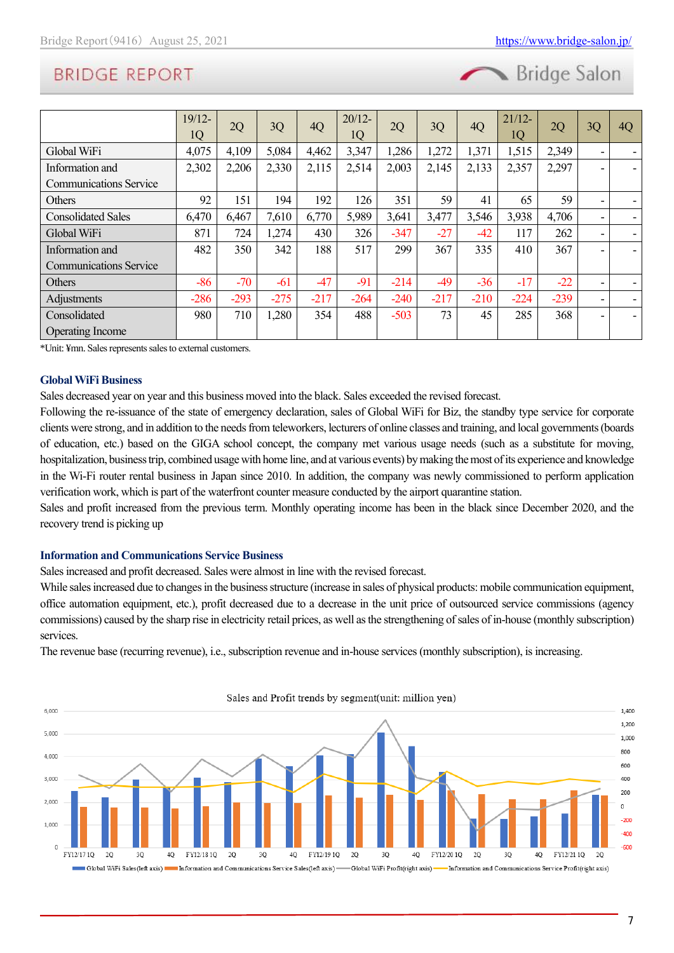

|                               | $19/12-$<br>1Q | 2Q     | 3Q     | 4Q     | $20/12-$<br>1Q | 2Q     | 3Q     | 4Q     | $21/12-$<br>1Q | 2Q     | 3Q | 4Q |
|-------------------------------|----------------|--------|--------|--------|----------------|--------|--------|--------|----------------|--------|----|----|
| Global WiFi                   | 4,075          | 4,109  | 5,084  | 4,462  | 3,347          | 1,286  | 1,272  | 1,371  | 1,515          | 2,349  | ۰  |    |
| Information and               | 2,302          | 2,206  | 2,330  | 2,115  | 2,514          | 2,003  | 2,145  | 2,133  | 2,357          | 2,297  | ۰  |    |
| <b>Communications Service</b> |                |        |        |        |                |        |        |        |                |        |    |    |
| <b>Others</b>                 | 92             | 151    | 194    | 192    | 126            | 351    | 59     | 41     | 65             | 59     | ۰  |    |
| <b>Consolidated Sales</b>     | 6,470          | 6,467  | 7,610  | 6,770  | 5,989          | 3,641  | 3,477  | 3,546  | 3,938          | 4,706  | ۰  |    |
| Global WiFi                   | 871            | 724    | 1,274  | 430    | 326            | $-347$ | $-27$  | $-42$  | 117            | 262    | ۰  |    |
| Information and               | 482            | 350    | 342    | 188    | 517            | 299    | 367    | 335    | 410            | 367    | ۰  |    |
| <b>Communications Service</b> |                |        |        |        |                |        |        |        |                |        |    |    |
| <b>Others</b>                 | $-86$          | $-70$  | $-61$  | $-47$  | $-91$          | $-214$ | -49    | $-36$  | $-17$          | $-22$  | ۰  |    |
| Adjustments                   | $-286$         | $-293$ | $-275$ | $-217$ | $-264$         | $-240$ | $-217$ | $-210$ | $-224$         | $-239$ | ۰  |    |
| Consolidated                  | 980            | 710    | 1,280  | 354    | 488            | $-503$ | 73     | 45     | 285            | 368    |    |    |
| <b>Operating Income</b>       |                |        |        |        |                |        |        |        |                |        |    |    |

\*Unit: ¥mn. Sales represents sales to external customers.

#### **Global WiFi Business**

Sales decreased year on year and this business moved into the black. Sales exceeded the revised forecast.

Following the re-issuance of the state of emergency declaration, sales of Global WiFi for Biz, the standby type service for corporate clients were strong, and in addition to the needs from teleworkers, lecturers of online classes and training, and local governments (boards of education, etc.) based on the GIGA school concept, the company met various usage needs (such as a substitute for moving, hospitalization, business trip, combined usage with home line, and at various events) by making the most of its experience and knowledge in the Wi-Fi router rental business in Japan since 2010. In addition, the company was newly commissioned to perform application verification work, which is part of the waterfront counter measure conducted by the airport quarantine station.

Sales and profit increased from the previous term. Monthly operating income has been in the black since December 2020, and the recovery trend is picking up

#### **Information and Communications Service Business**

Sales increased and profit decreased. Sales were almost in line with the revised forecast.

While sales increased due to changes in the business structure (increase in sales of physical products: mobile communication equipment, office automation equipment, etc.), profit decreased due to a decrease in the unit price of outsourced service commissions (agency commissions) caused by the sharp rise in electricity retail prices, as well as the strengthening of sales of in-house (monthly subscription) services.

The revenue base (recurring revenue), i.e., subscription revenue and in-house services (monthly subscription), is increasing.

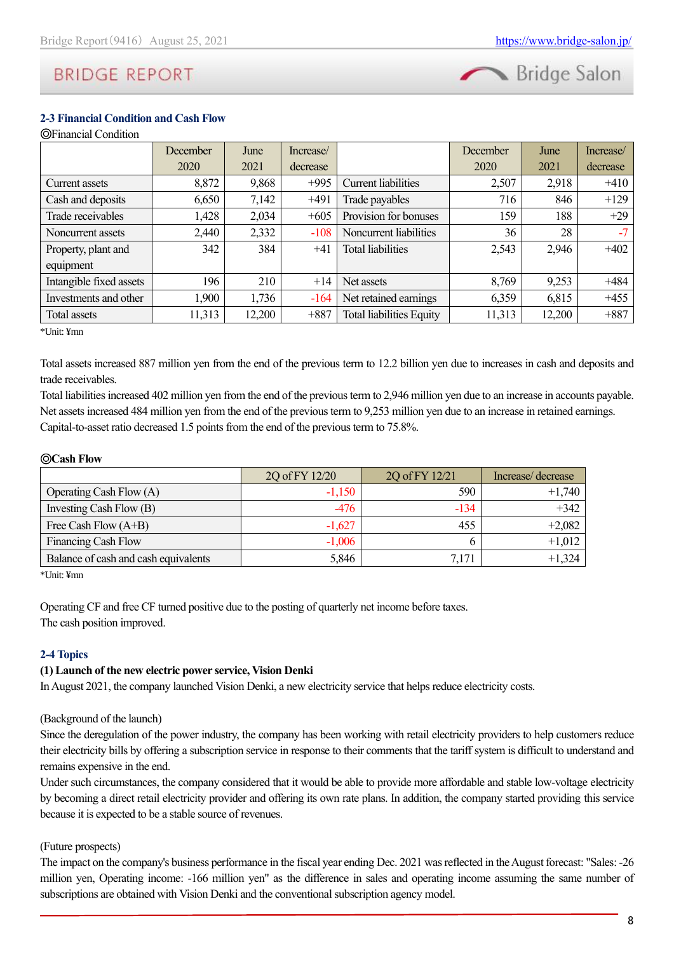

#### **2-3 Financial Condition and Cash Flow**

|                         | <b>December</b> | June   | Increase/ |                                 | December | June   | Increase/ |
|-------------------------|-----------------|--------|-----------|---------------------------------|----------|--------|-----------|
|                         | 2020            | 2021   | decrease  |                                 | 2020     | 2021   | decrease  |
| Current assets          | 8,872           | 9,868  | $+995$    | Current liabilities             | 2,507    | 2,918  | $+410$    |
| Cash and deposits       | 6,650           | 7,142  | $+491$    | Trade payables                  | 716      | 846    | $+129$    |
| Trade receivables       | 1,428           | 2,034  | $+605$    | Provision for bonuses           | 159      | 188    | $+29$     |
| Noncurrent assets       | 2,440           | 2,332  | $-108$    | Noncurrent liabilities          | 36       | 28     | $-7$      |
| Property, plant and     | 342             | 384    | $+41$     | <b>Total liabilities</b>        | 2,543    | 2,946  | $+402$    |
| equipment               |                 |        |           |                                 |          |        |           |
| Intangible fixed assets | 196             | 210    | $+14$     | Net assets                      | 8,769    | 9,253  | $+484$    |
| Investments and other   | 1,900           | 1,736  | $-164$    | Net retained earnings           | 6,359    | 6,815  | $+455$    |
| Total assets            | 11,313          | 12,200 | $+887$    | <b>Total liabilities Equity</b> | 11,313   | 12,200 | $+887$    |

\*Unit: ¥mn

Total assets increased 887 million yen from the end of the previous term to 12.2 billion yen due to increases in cash and deposits and trade receivables.

Total liabilities increased 402 million yen from the end of the previous term to 2,946 million yen due to an increase in accounts payable. Net assets increased 484 million yen from the end of the previous term to 9,253 million yen due to an increase in retained earnings. Capital-to-asset ratio decreased 1.5 points from the end of the previous term to 75.8%.

#### ◎**Cash Flow**

|                                      | 2Q of FY 12/20 | 2Q of FY 12/21 | Increase/decrease |
|--------------------------------------|----------------|----------------|-------------------|
| Operating Cash Flow $(A)$            | $-1,150$       | 590            | $+1,740$          |
| Investing Cash Flow (B)              | -476           | $-134$         | $+342$            |
| Free Cash Flow $(A+B)$               | $-1,627$       | 455            | $+2,082$          |
| <b>Financing Cash Flow</b>           | $-1,006$       |                | $+1,012$          |
| Balance of cash and cash equivalents | 5,846          | 7,171          | $+1,324$          |

\*Unit: ¥mn

Operating CF and free CF turned positive due to the posting of quarterly net income before taxes. The cash position improved.

#### **2-4 Topics**

#### **(1) Launch of the new electric power service, Vision Denki**

In August 2021, the company launched Vision Denki, a new electricity service that helps reduce electricity costs.

(Background of the launch)

Since the deregulation of the power industry, the company has been working with retail electricity providers to help customers reduce their electricity bills by offering a subscription service in response to their comments that the tariff system is difficult to understand and remains expensive in the end.

Under such circumstances, the company considered that it would be able to provide more affordable and stable low-voltage electricity by becoming a direct retail electricity provider and offering its own rate plans. In addition, the company started providing this service because it is expected to be a stable source of revenues.

#### (Future prospects)

The impact on the company's business performance in the fiscal year ending Dec. 2021 was reflected in the August forecast: "Sales: -26 million yen, Operating income: -166 million yen" as the difference in sales and operating income assuming the same number of subscriptions are obtained with Vision Denki and the conventional subscription agency model.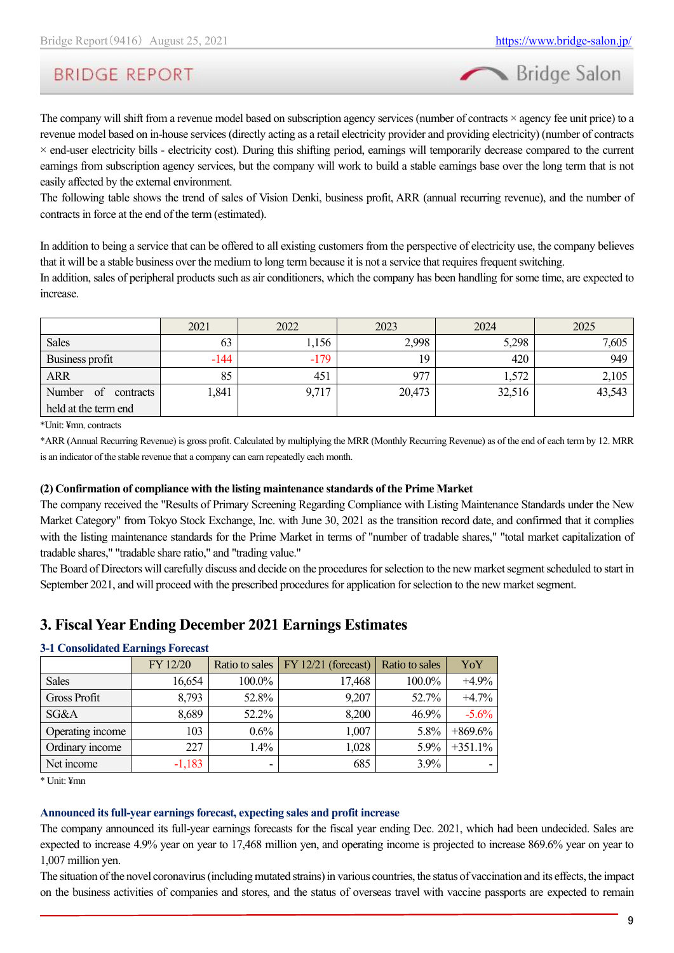Bridge Salon

The company will shift from a revenue model based on subscription agency services (number of contracts  $\times$  agency fee unit price) to a revenue model based on in-house services (directly acting as a retail electricity provider and providing electricity) (number of contracts × end-user electricity bills - electricity cost). During this shifting period, earnings will temporarily decrease compared to the current earnings from subscription agency services, but the company will work to build a stable earnings base over the long term that is not easily affected by the external environment.

The following table shows the trend of sales of Vision Denki, business profit, ARR (annual recurring revenue), and the number of contracts in force at the end of the term (estimated).

In addition to being a service that can be offered to all existing customers from the perspective of electricity use, the company believes that it will be a stable business over the medium to long term because it is not a service that requires frequent switching.

In addition, sales of peripheral products such as air conditioners, which the company has been handling for some time, are expected to increase.

|                           | 2021   | 2022   | 2023   | 2024   | 2025   |
|---------------------------|--------|--------|--------|--------|--------|
| <b>Sales</b>              | 63     | 1,156  | 2,998  | 5,298  | 7,605  |
| Business profit           | $-144$ | $-179$ | 19     | 420    | 949    |
| <b>ARR</b>                | 85     | 451    | 977    | 1,572  | 2,105  |
| of<br>Number<br>contracts | 1,841  | 9,717  | 20,473 | 32,516 | 43,543 |
| held at the term end      |        |        |        |        |        |

\*Unit: ¥mn, contracts

\*ARR (Annual Recurring Revenue) is gross profit. Calculated by multiplying the MRR (Monthly Recurring Revenue) as of the end of each term by 12. MRR is an indicator of the stable revenue that a company can earn repeatedly each month.

#### **(2) Confirmation of compliance with the listing maintenance standards of the Prime Market**

The company received the "Results of Primary Screening Regarding Compliance with Listing Maintenance Standards under the New Market Category" from Tokyo Stock Exchange, Inc. with June 30, 2021 as the transition record date, and confirmed that it complies with the listing maintenance standards for the Prime Market in terms of "number of tradable shares," "total market capitalization of tradable shares," "tradable share ratio," and "trading value."

The Board of Directors will carefully discuss and decide on the procedures for selection to the new market segment scheduled to start in September 2021, and will proceed with the prescribed procedures for application for selection to the new market segment.

### <span id="page-8-0"></span>**3. Fiscal Year Ending December 2021 Earnings Estimates**

#### **3-1 Consolidated Earnings Forecast**

|                     | FY 12/20 | Ratio to sales | $\overline{YY}$ 12/21 (forecast) | Ratio to sales | YoY       |
|---------------------|----------|----------------|----------------------------------|----------------|-----------|
| Sales               | 16,654   | 100.0%         | 17,468                           | 100.0%         | $+4.9%$   |
| <b>Gross Profit</b> | 8,793    | 52.8%          | 9,207                            | 52.7%          | $+4.7%$   |
| SG&A                | 8,689    | 52.2%          | 8,200                            | 46.9%          | $-5.6%$   |
| Operating income    | 103      | 0.6%           | 1,007                            | 5.8%           | $+869.6%$ |
| Ordinary income     | 227      | 1.4%           | 1,028                            | 5.9%           | $+351.1%$ |
| Net income          | $-1,183$ | ۰              | 685                              | 3.9%           |           |

\* Unit: ¥mn

#### **Announced its full-year earnings forecast, expecting sales and profit increase**

The company announced its full-year earnings forecasts for the fiscal year ending Dec. 2021, which had been undecided. Sales are expected to increase 4.9% year on year to 17,468 million yen, and operating income is projected to increase 869.6% year on year to 1,007 million yen.

The situation of the novel coronavirus (including mutated strains) in various countries, the status of vaccination and its effects, the impact on the business activities of companies and stores, and the status of overseas travel with vaccine passports are expected to remain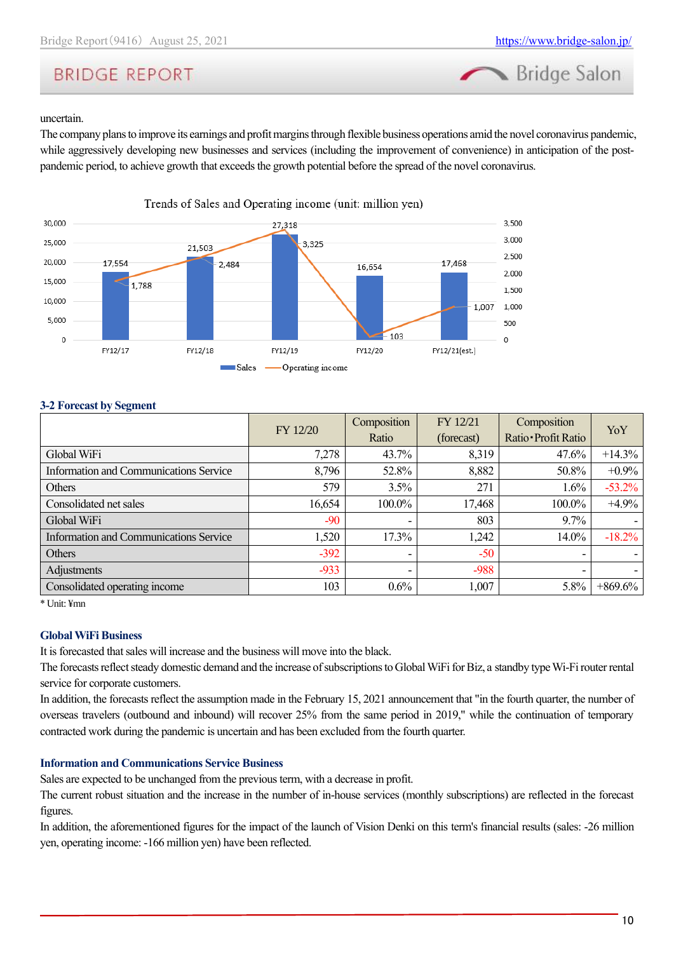

#### uncertain.

The company plans to improve its earnings and profit margins through flexible business operations amid the novel coronavirus pandemic, while aggressively developing new businesses and services (including the improvement of convenience) in anticipation of the postpandemic period, to achieve growth that exceeds the growth potential before the spread of the novel coronavirus.



#### **3-2 Forecast by Segment**

|                                               | FY 12/20 | Composition | FY 12/21   | Composition              | YoY        |
|-----------------------------------------------|----------|-------------|------------|--------------------------|------------|
|                                               |          | Ratio       | (forecast) | Ratio · Profit Ratio     |            |
| Global WiFi                                   | 7,278    | 43.7%       | 8,319      | 47.6%                    | $+14.3%$   |
| Information and Communications Service        | 8,796    | 52.8%       | 8,882      | 50.8%                    | $+0.9\%$   |
| Others                                        | 579      | 3.5%        | 271        | 1.6%                     | $-53.2%$   |
| Consolidated net sales                        | 16,654   | 100.0%      | 17,468     | 100.0%                   | $+4.9%$    |
| Global WiFi                                   | $-90$    |             | 803        | 9.7%                     |            |
| <b>Information and Communications Service</b> | 1,520    | 17.3%       | 1,242      | 14.0%                    | $-18.2%$   |
| Others                                        | $-392$   | ۰           | $-50$      |                          |            |
| Adjustments                                   | $-933$   |             | $-988$     | $\overline{\phantom{0}}$ |            |
| Consolidated operating income                 | 103      | 0.6%        | 1,007      | 5.8%                     | $+869.6\%$ |

<sup>\*</sup> Unit: ¥mn

#### **Global WiFi Business**

It is forecasted that sales will increase and the business will move into the black.

The forecasts reflect steady domestic demand and the increase of subscriptions to Global WiFi for Biz, a standby type Wi-Fi router rental service for corporate customers.

In addition, the forecasts reflect the assumption made in the February 15, 2021 announcement that "in the fourth quarter, the number of overseas travelers (outbound and inbound) will recover 25% from the same period in 2019," while the continuation of temporary contracted work during the pandemic is uncertain and has been excluded from the fourth quarter.

#### **Information and Communications Service Business**

Sales are expected to be unchanged from the previous term, with a decrease in profit.

The current robust situation and the increase in the number of in-house services (monthly subscriptions) are reflected in the forecast figures.

In addition, the aforementioned figures for the impact of the launch of Vision Denki on this term's financial results (sales: -26 million yen, operating income: -166 million yen) have been reflected.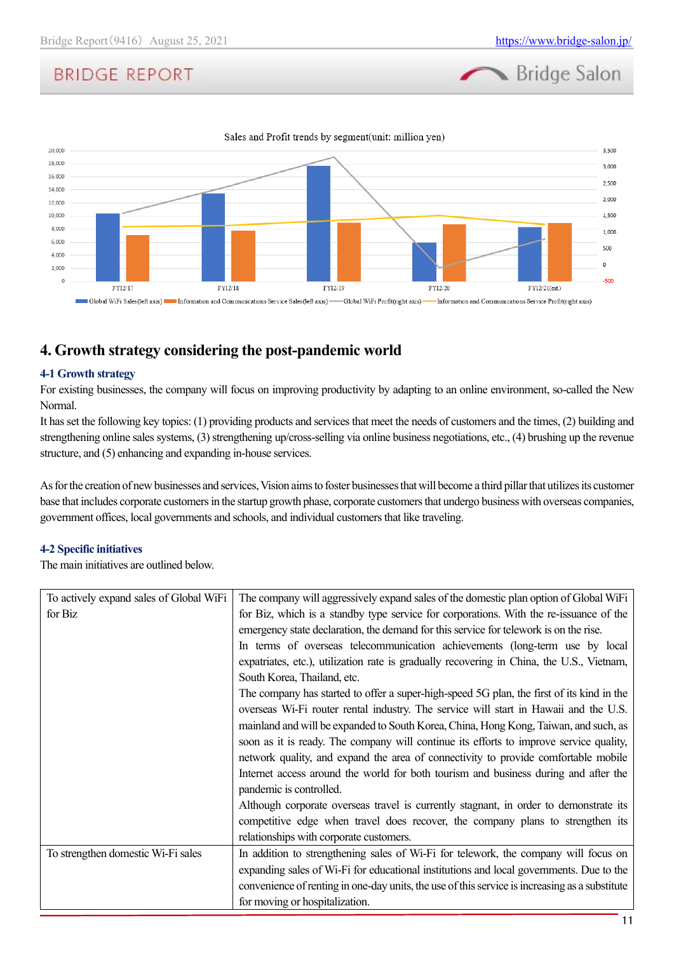



### <span id="page-10-0"></span>**4. Growth strategy considering the post-pandemic world**

#### **4-1 Growth strategy**

For existing businesses, the company will focus on improving productivity by adapting to an online environment, so-called the New Normal.

It has set the following key topics: (1) providing products and services that meet the needs of customers and the times, (2) building and strengthening online sales systems, (3) strengthening up/cross-selling via online business negotiations, etc., (4) brushing up the revenue structure, and (5) enhancing and expanding in-house services.

As for the creation of new businesses and services, Vision aims to foster businesses that will become a third pillar that utilizes its customer base that includes corporate customers in the startup growth phase, corporate customers that undergo business with overseas companies, government offices, local governments and schools, and individual customers that like traveling.

#### **4-2 Specific initiatives**

The main initiatives are outlined below.

| To actively expand sales of Global WiFi | The company will aggressively expand sales of the domestic plan option of Global WiFi          |
|-----------------------------------------|------------------------------------------------------------------------------------------------|
| for Biz                                 | for Biz, which is a standby type service for corporations. With the re-issuance of the         |
|                                         | emergency state declaration, the demand for this service for telework is on the rise.          |
|                                         | In terms of overseas telecommunication achievements (long-term use by local                    |
|                                         | expatriates, etc.), utilization rate is gradually recovering in China, the U.S., Vietnam,      |
|                                         | South Korea, Thailand, etc.                                                                    |
|                                         | The company has started to offer a super-high-speed 5G plan, the first of its kind in the      |
|                                         | overseas Wi-Fi router rental industry. The service will start in Hawaii and the U.S.           |
|                                         | mainland and will be expanded to South Korea, China, Hong Kong, Taiwan, and such, as           |
|                                         | soon as it is ready. The company will continue its efforts to improve service quality,         |
|                                         | network quality, and expand the area of connectivity to provide comfortable mobile             |
|                                         | Internet access around the world for both tourism and business during and after the            |
|                                         | pandemic is controlled.                                                                        |
|                                         | Although corporate overseas travel is currently stagnant, in order to demonstrate its          |
|                                         | competitive edge when travel does recover, the company plans to strengthen its                 |
|                                         | relationships with corporate customers.                                                        |
| To strengthen domestic Wi-Fi sales      | In addition to strengthening sales of Wi-Fi for telework, the company will focus on            |
|                                         | expanding sales of Wi-Fi for educational institutions and local governments. Due to the        |
|                                         | convenience of renting in one-day units, the use of this service is increasing as a substitute |
|                                         | for moving or hospitalization.                                                                 |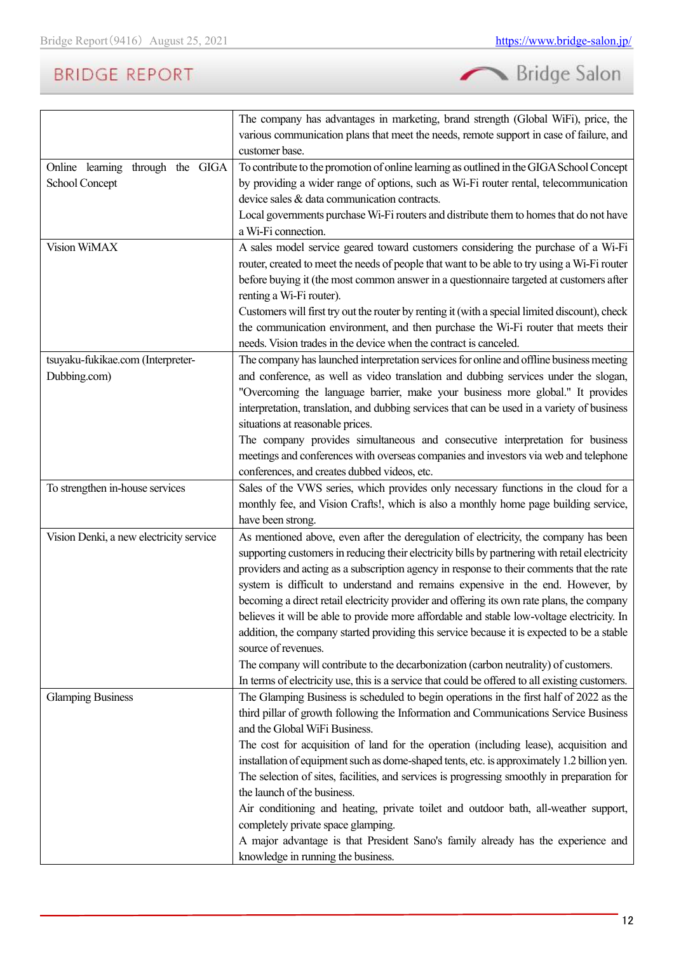

|                                         | The company has advantages in marketing, brand strength (Global WiFi), price, the               |
|-----------------------------------------|-------------------------------------------------------------------------------------------------|
|                                         | various communication plans that meet the needs, remote support in case of failure, and         |
|                                         | customer base.                                                                                  |
| Online learning through the GIGA        | To contribute to the promotion of online learning as outlined in the GIGA School Concept        |
| School Concept                          | by providing a wider range of options, such as Wi-Fi router rental, telecommunication           |
|                                         | device sales & data communication contracts.                                                    |
|                                         | Local governments purchase Wi-Fi routers and distribute them to homes that do not have          |
|                                         | a Wi-Fi connection.                                                                             |
| Vision WiMAX                            | A sales model service geared toward customers considering the purchase of a Wi-Fi               |
|                                         | router, created to meet the needs of people that want to be able to try using a Wi-Fi router    |
|                                         | before buying it (the most common answer in a questionnaire targeted at customers after         |
|                                         | renting a Wi-Fi router).                                                                        |
|                                         | Customers will first try out the router by renting it (with a special limited discount), check  |
|                                         | the communication environment, and then purchase the Wi-Fi router that meets their              |
|                                         | needs. Vision trades in the device when the contract is canceled.                               |
| tsuyaku-fukikae.com (Interpreter-       | The company has launched interpretation services for online and offline business meeting        |
| Dubbing.com)                            | and conference, as well as video translation and dubbing services under the slogan,             |
|                                         | "Overcoming the language barrier, make your business more global." It provides                  |
|                                         | interpretation, translation, and dubbing services that can be used in a variety of business     |
|                                         | situations at reasonable prices.                                                                |
|                                         | The company provides simultaneous and consecutive interpretation for business                   |
|                                         | meetings and conferences with overseas companies and investors via web and telephone            |
|                                         | conferences, and creates dubbed videos, etc.                                                    |
| To strengthen in-house services         | Sales of the VWS series, which provides only necessary functions in the cloud for a             |
|                                         | monthly fee, and Vision Crafts!, which is also a monthly home page building service,            |
|                                         | have been strong.                                                                               |
| Vision Denki, a new electricity service | As mentioned above, even after the deregulation of electricity, the company has been            |
|                                         | supporting customers in reducing their electricity bills by partnering with retail electricity  |
|                                         | providers and acting as a subscription agency in response to their comments that the rate       |
|                                         | system is difficult to understand and remains expensive in the end. However, by                 |
|                                         | becoming a direct retail electricity provider and offering its own rate plans, the company      |
|                                         | believes it will be able to provide more affordable and stable low-voltage electricity. In      |
|                                         | addition, the company started providing this service because it is expected to be a stable      |
|                                         | source of revenues.                                                                             |
|                                         | The company will contribute to the decarbonization (carbon neutrality) of customers.            |
|                                         | In terms of electricity use, this is a service that could be offered to all existing customers. |
| <b>Glamping Business</b>                | The Glamping Business is scheduled to begin operations in the first half of 2022 as the         |
|                                         | third pillar of growth following the Information and Communications Service Business            |
|                                         | and the Global WiFi Business.                                                                   |
|                                         | The cost for acquisition of land for the operation (including lease), acquisition and           |
|                                         | installation of equipment such as dome-shaped tents, etc. is approximately 1.2 billion yen.     |
|                                         | The selection of sites, facilities, and services is progressing smoothly in preparation for     |
|                                         | the launch of the business.                                                                     |
|                                         | Air conditioning and heating, private toilet and outdoor bath, all-weather support,             |
|                                         | completely private space glamping.                                                              |
|                                         | A major advantage is that President Sano's family already has the experience and                |
|                                         | knowledge in running the business.                                                              |
|                                         |                                                                                                 |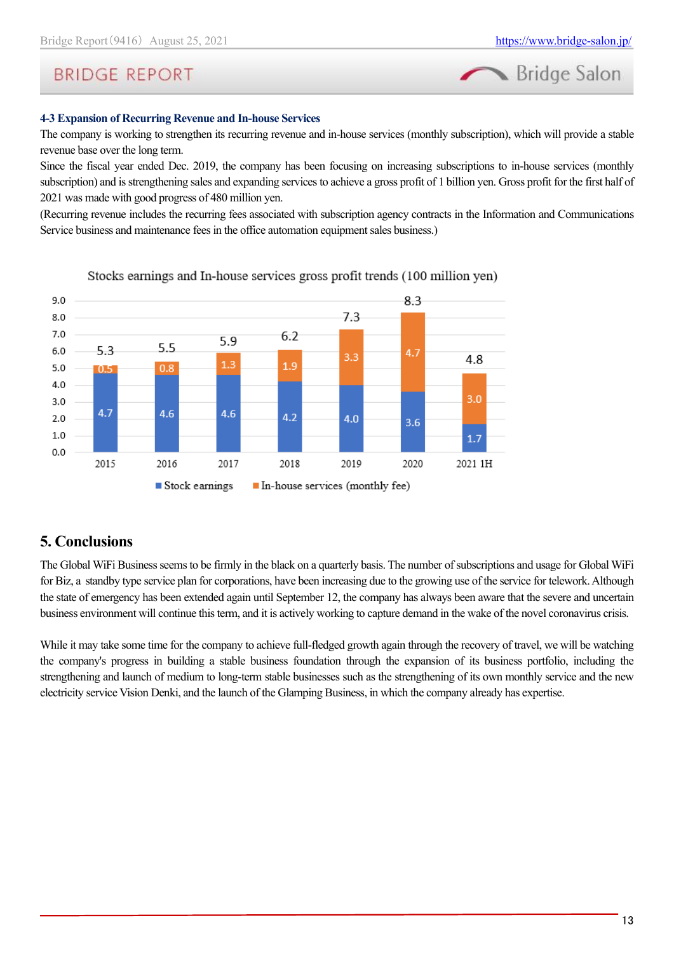

#### **4-3 Expansion of Recurring Revenue and In-house Services**

The company is working to strengthen its recurring revenue and in-house services (monthly subscription), which will provide a stable revenue base over the long term.

Since the fiscal year ended Dec. 2019, the company has been focusing on increasing subscriptions to in-house services (monthly subscription) and is strengthening sales and expanding services to achieve a gross profit of 1 billion yen. Gross profit for the first half of 2021 was made with good progress of 480 million yen.

(Recurring revenue includes the recurring fees associated with subscription agency contracts in the Information and Communications Service business and maintenance fees in the office automation equipment sales business.)



#### Stocks earnings and In-house services gross profit trends (100 million yen)

### <span id="page-12-0"></span>**5. Conclusions**

The Global WiFi Business seems to be firmly in the black on a quarterly basis. The number of subscriptions and usage for Global WiFi for Biz, a standby type service plan for corporations, have been increasing due to the growing use of the service for telework. Although the state of emergency has been extended again until September 12, the company has always been aware that the severe and uncertain business environment will continue this term, and it is actively working to capture demand in the wake of the novel coronavirus crisis.

While it may take some time for the company to achieve full-fledged growth again through the recovery of travel, we will be watching the company's progress in building a stable business foundation through the expansion of its business portfolio, including the strengthening and launch of medium to long-term stable businesses such as the strengthening of its own monthly service and the new electricity service Vision Denki, and the launch of the Glamping Business, in which the company already has expertise.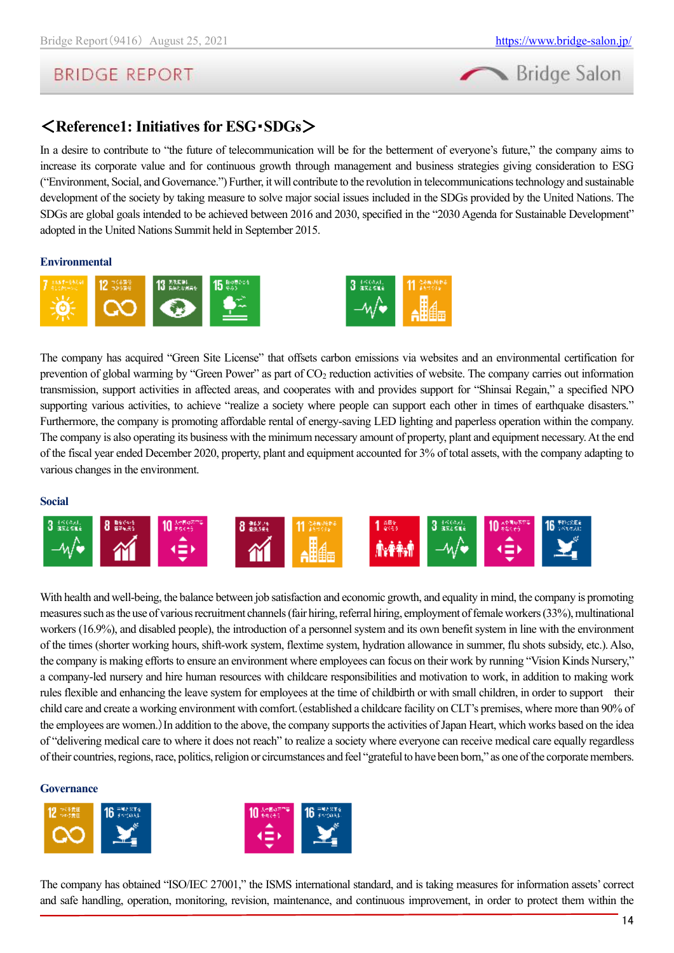

# <span id="page-13-0"></span><**Reference1: Initiatives for ESG**・**SDGs**>

In a desire to contribute to "the future of telecommunication will be for the betterment of everyone's future," the company aims to increase its corporate value and for continuous growth through management and business strategies giving consideration to ESG ("Environment, Social, and Governance.") Further, it will contribute to the revolution in telecommunications technology and sustainable development of the society by taking measure to solve major social issues included in the SDGs provided by the United Nations. The SDGs are global goals intended to be achieved between 2016 and 2030, specified in the "2030 Agenda for Sustainable Development" adopted in the United Nations Summit held in September 2015.

#### **Environmental**



The company has acquired "Green Site License" that offsets carbon emissions via websites and an environmental certification for prevention of global warming by "Green Power" as part of  $CO<sub>2</sub>$  reduction activities of website. The company carries out information transmission, support activities in affected areas, and cooperates with and provides support for "Shinsai Regain," a specified NPO supporting various activities, to achieve "realize a society where people can support each other in times of earthquake disasters." Furthermore, the company is promoting affordable rental of energy-saving LED lighting and paperless operation within the company. The company is also operating its business with the minimum necessary amount of property, plant and equipment necessary. At the end of the fiscal year ended December 2020, property, plant and equipment accounted for 3% of total assets, with the company adapting to various changes in the environment.

#### **Social**



With health and well-being, the balance between job satisfaction and economic growth, and equality in mind, the company is promoting measures such as the use of various recruitment channels(fair hiring, referral hiring, employment of female workers (33%), multinational workers (16.9%), and disabled people), the introduction of a personnel system and its own benefit system in line with the environment of the times (shorter working hours, shift-work system, flextime system, hydration allowance in summer, flu shots subsidy, etc.). Also, the company is making efforts to ensure an environment where employees can focus on their work by running "Vision Kinds Nursery," a company-led nursery and hire human resources with childcare responsibilities and motivation to work, in addition to making work rules flexible and enhancing the leave system for employees at the time of childbirth or with small children, in order to support their child care and create a working environment with comfort.(established a childcare facility on CLT's premises, where more than 90% of the employees are women.)In addition to the above, the company supports the activities of Japan Heart, which works based on the idea of "delivering medical care to where it does not reach" to realize a society where everyone can receive medical care equally regardless of their countries, regions, race, politics, religion or circumstances and feel "grateful to have been born," as one of the corporate members.

#### **Governance**



The company has obtained "ISO/IEC 27001," the ISMS international standard, and is taking measures for information assets' correct and safe handling, operation, monitoring, revision, maintenance, and continuous improvement, in order to protect them within the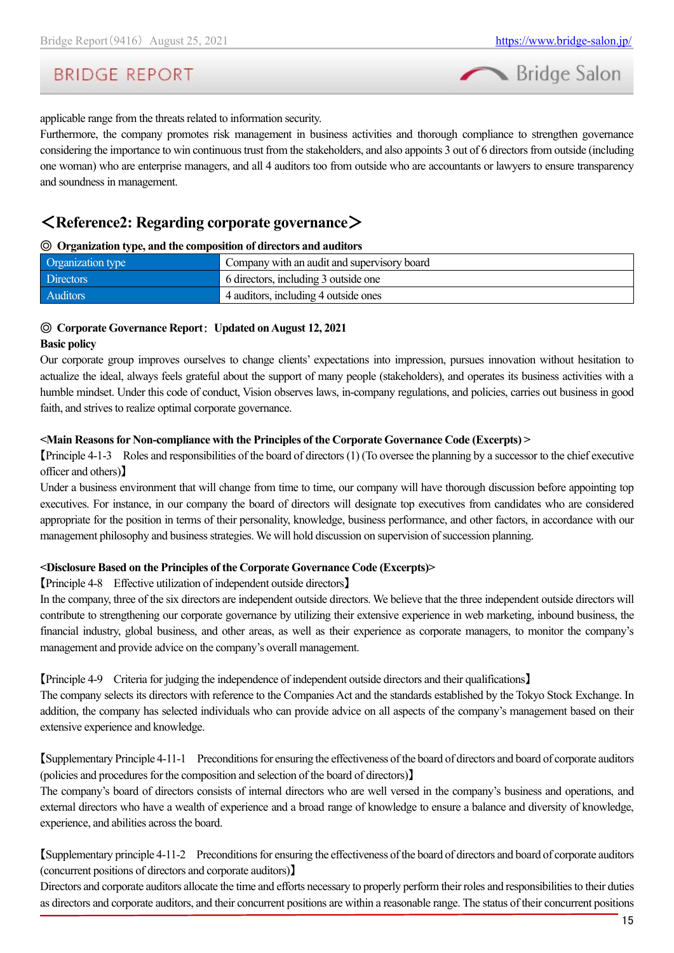



applicable range from the threats related to information security.

Furthermore, the company promotes risk management in business activities and thorough compliance to strengthen governance considering the importance to win continuous trust from the stakeholders, and also appoints 3 out of 6 directors from outside (including one woman) who are enterprise managers, and all 4 auditors too from outside who are accountants or lawyers to ensure transparency and soundness in management.

### <span id="page-14-0"></span><**Reference2: Regarding corporate governance**>

#### ◎ **Organization type, and the composition of directors and auditors**

| Organization type | Company with an audit and supervisory board |
|-------------------|---------------------------------------------|
| <b>Directors</b>  | 6 directors, including 3 outside one        |
| Auditors          | 4 auditors, including 4 outside ones        |

#### ◎ **Corporate Governance Report**: **Updated on August 12, 2021**

#### **Basic policy**

Our corporate group improves ourselves to change clients' expectations into impression, pursues innovation without hesitation to actualize the ideal, always feels grateful about the support of many people (stakeholders), and operates its business activities with a humble mindset. Under this code of conduct, Vision observes laws, in-company regulations, and policies, carries out business in good faith, and strives to realize optimal corporate governance.

#### **<Main Reasons for Non-compliance with the Principles of the Corporate Governance Code (Excerpts) >**

【Principle 4-1-3 Roles and responsibilities of the board of directors (1) (To oversee the planning by a successor to the chief executive officer and others)】

Under a business environment that will change from time to time, our company will have thorough discussion before appointing top executives. For instance, in our company the board of directors will designate top executives from candidates who are considered appropriate for the position in terms of their personality, knowledge, business performance, and other factors, in accordance with our management philosophy and business strategies. We will hold discussion on supervision of succession planning.

#### **<Disclosure Based on the Principles of the Corporate Governance Code (Excerpts)>**

#### 【Principle 4-8 Effective utilization of independent outside directors】

In the company, three of the six directors are independent outside directors. We believe that the three independent outside directors will contribute to strengthening our corporate governance by utilizing their extensive experience in web marketing, inbound business, the financial industry, global business, and other areas, as well as their experience as corporate managers, to monitor the company's management and provide advice on the company's overall management.

【Principle 4-9 Criteria for judging the independence of independent outside directors and their qualifications】

The company selects its directors with reference to the Companies Act and the standards established by the Tokyo Stock Exchange. In addition, the company has selected individuals who can provide advice on all aspects of the company's management based on their extensive experience and knowledge.

【Supplementary Principle 4-11-1 Preconditions for ensuring the effectiveness of the board of directors and board of corporate auditors (policies and procedures for the composition and selection of the board of directors)】

The company's board of directors consists of internal directors who are well versed in the company's business and operations, and external directors who have a wealth of experience and a broad range of knowledge to ensure a balance and diversity of knowledge, experience, and abilities across the board.

【Supplementary principle 4-11-2 Preconditions for ensuring the effectiveness of the board of directors and board of corporate auditors (concurrent positions of directors and corporate auditors)】

Directors and corporate auditors allocate the time and efforts necessary to properly perform their roles and responsibilitiesto their duties as directors and corporate auditors, and their concurrent positions are within a reasonable range. The status of their concurrent positions